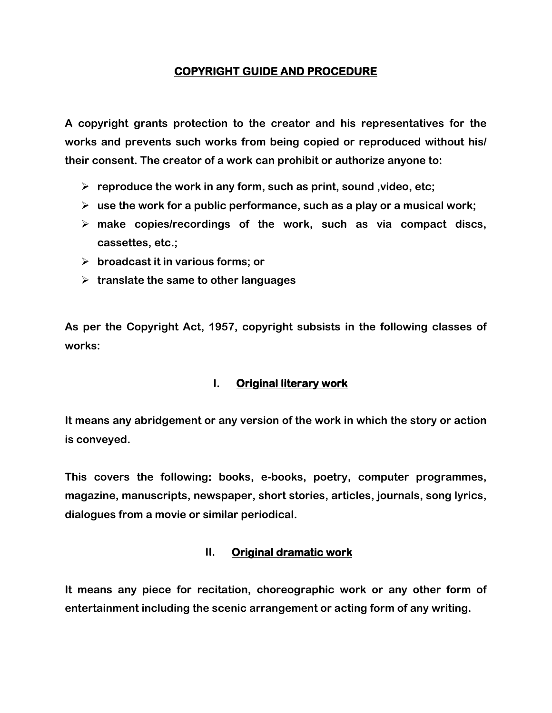### **COPYRIGHT GUIDE AND PROCEDURE**

**A copyright grants protection to the creator and his representatives for the works and prevents such works from being copied or reproduced without his/ their consent. The creator of a work can prohibit or authorize anyone to:**

- **reproduce the work in any form, such as print, sound ,video, etc;**
- **use the work for a public performance, such as a play or a musical work;**
- **make copies/recordings of the work, such as via compact discs, cassettes, etc.;**
- **broadcast it in various forms; or**
- **translate the same to other languages**

**As per the Copyright Act, 1957, copyright subsists in the following classes of works:**

### **I. Original literary work**

**It means any abridgement or any version of the work in which the story or action is conveyed.** 

**This covers the following: books, e-books, poetry, computer programmes, magazine, manuscripts, newspaper, short stories, articles, journals, song lyrics, dialogues from a movie or similar periodical.**

#### **II. Original dramatic work**

**It means any piece for recitation, choreographic work or any other form of entertainment including the scenic arrangement or acting form of any writing.**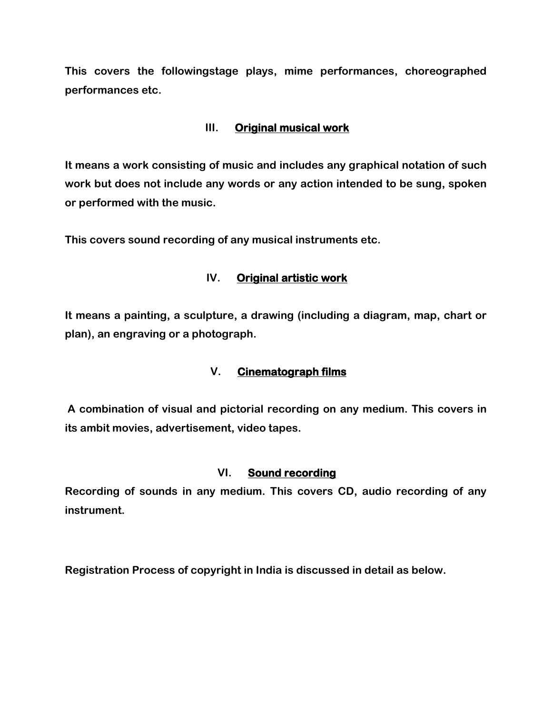**This covers the followingstage plays, mime performances, choreographed performances etc.**

### **III. Original musical work**

**It means a work consisting of music and includes any graphical notation of such work but does not include any words or any action intended to be sung, spoken or performed with the music.** 

**This covers sound recording of any musical instruments etc.**

### **IV. Original artistic work**

**It means a painting, a sculpture, a drawing (including a diagram, map, chart or plan), an engraving or a photograph.**

### **V. Cinematograph films**

**A combination of visual and pictorial recording on any medium. This covers in its ambit movies, advertisement, video tapes.**

### **VI. Sound recording**

**Recording of sounds in any medium. This covers CD, audio recording of any instrument.**

**Registration Process of copyright in India is discussed in detail as below.**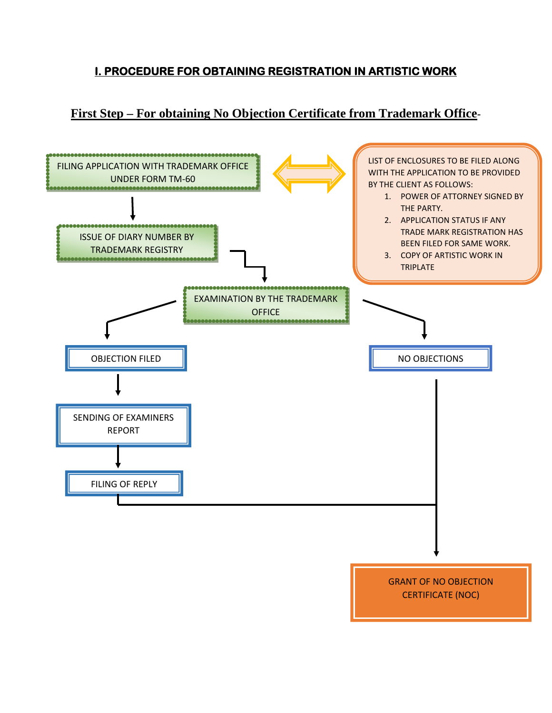# **I. PROCEDURE FOR OBTAINING REGISTRATION IN ARTISTIC WORK**

# **First Step – For obtaining No Objection Certificate from Trademark Office-**

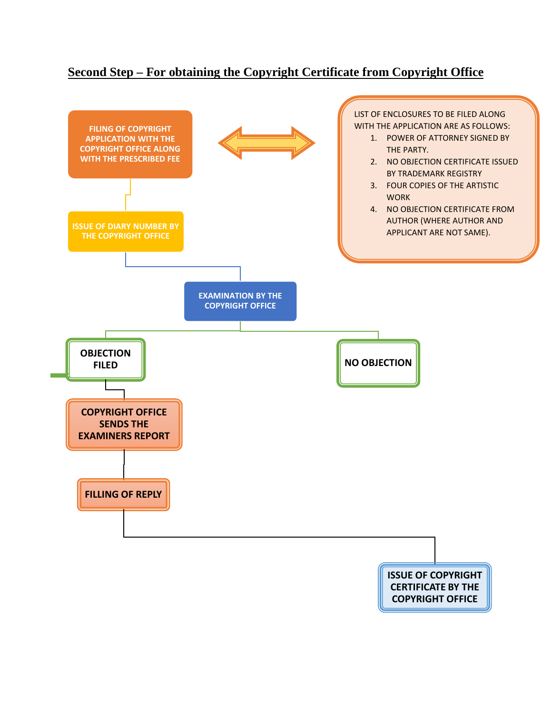## **Second Step – For obtaining the Copyright Certificate from Copyright Office**

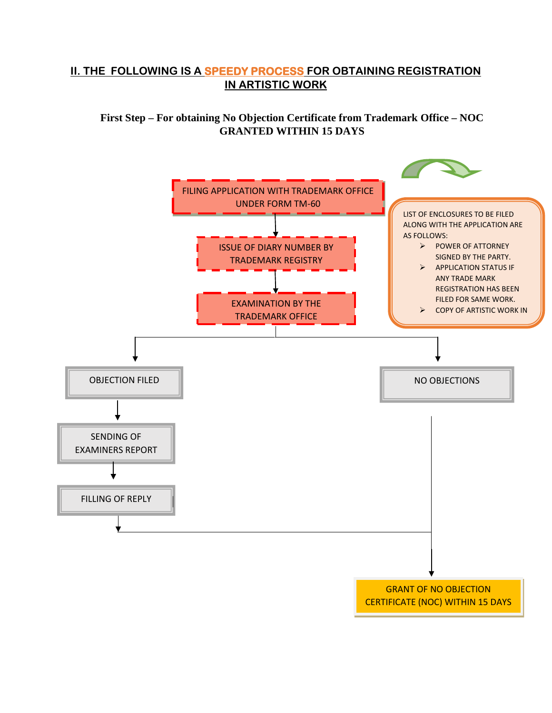### **II. THE FOLLOWING IS A SPEEDY PROCESS FOR OBTAINING REGISTRATION IN ARTISTIC WORK**

**First Step – For obtaining No Objection Certificate from Trademark Office – NOC GRANTED WITHIN 15 DAYS**

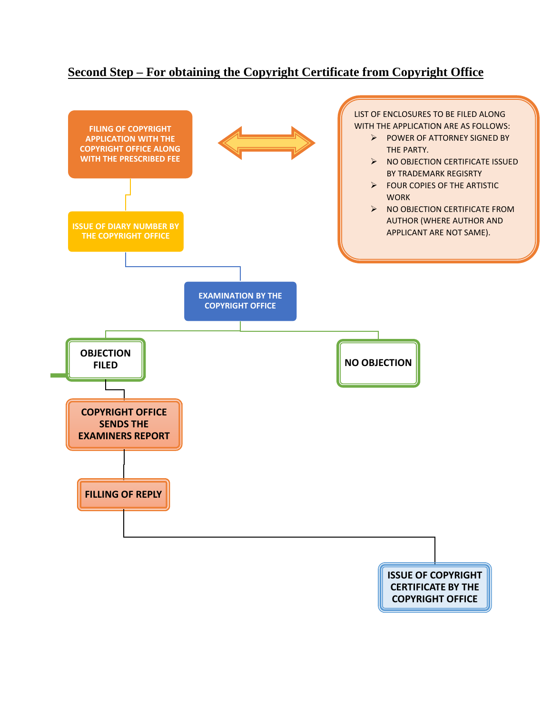## **Second Step – For obtaining the Copyright Certificate from Copyright Office**